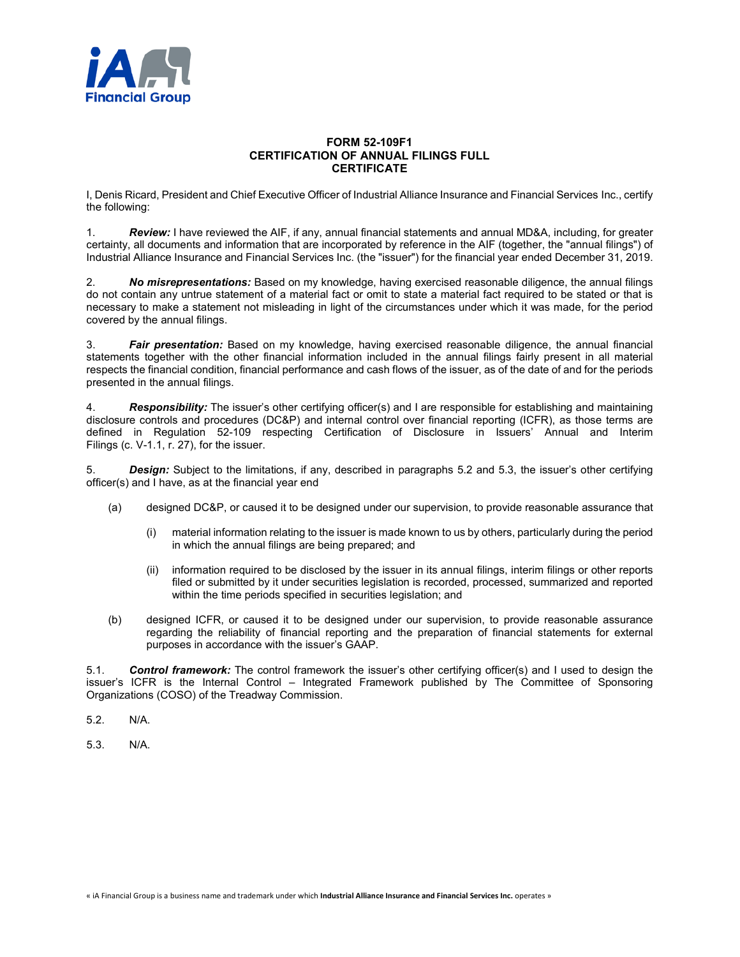

## **FORM 52-109F1 CERTIFICATION OF ANNUAL FILINGS FULL CERTIFICATE**

I, Denis Ricard, President and Chief Executive Officer of Industrial Alliance Insurance and Financial Services Inc., certify the following:

1. *Review:* I have reviewed the AIF, if any, annual financial statements and annual MD&A, including, for greater certainty, all documents and information that are incorporated by reference in the AIF (together, the "annual filings") of Industrial Alliance Insurance and Financial Services Inc. (the "issuer") for the financial year ended December 31, 2019.

2. *No misrepresentations:* Based on my knowledge, having exercised reasonable diligence, the annual filings do not contain any untrue statement of a material fact or omit to state a material fact required to be stated or that is necessary to make a statement not misleading in light of the circumstances under which it was made, for the period covered by the annual filings.

3. *Fair presentation:* Based on my knowledge, having exercised reasonable diligence, the annual financial statements together with the other financial information included in the annual filings fairly present in all material respects the financial condition, financial performance and cash flows of the issuer, as of the date of and for the periods presented in the annual filings.

4. *Responsibility:* The issuer's other certifying officer(s) and I are responsible for establishing and maintaining disclosure controls and procedures (DC&P) and internal control over financial reporting (ICFR), as those terms are defined in Regulation 52-109 respecting Certification of Disclosure in Issuers' Annual and Interim Filings (c. V-1.1, r. 27), for the issuer.

5. *Design:* Subject to the limitations, if any, described in paragraphs 5.2 and 5.3, the issuer's other certifying officer(s) and I have, as at the financial year end

- (a) designed DC&P, or caused it to be designed under our supervision, to provide reasonable assurance that
	- (i) material information relating to the issuer is made known to us by others, particularly during the period in which the annual filings are being prepared; and
	- (ii) information required to be disclosed by the issuer in its annual filings, interim filings or other reports filed or submitted by it under securities legislation is recorded, processed, summarized and reported within the time periods specified in securities legislation; and
- (b) designed ICFR, or caused it to be designed under our supervision, to provide reasonable assurance regarding the reliability of financial reporting and the preparation of financial statements for external purposes in accordance with the issuer's GAAP.

5.1. *Control framework:* The control framework the issuer's other certifying officer(s) and I used to design the issuer's ICFR is the Internal Control – Integrated Framework published by The Committee of Sponsoring Organizations (COSO) of the Treadway Commission.

- 5.2. N/A.
- 5.3. N/A.